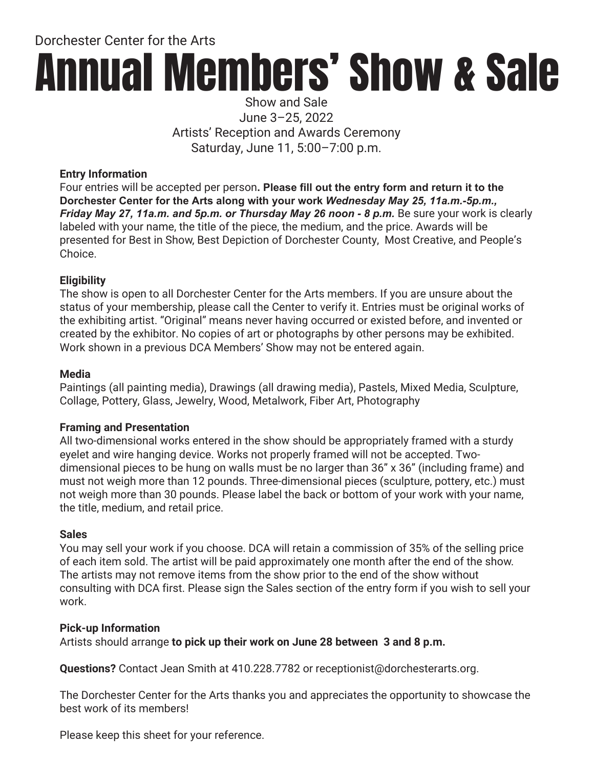Dorchester Center for the Arts

# Annual Members' Show & Sale

Show and Sale June 3–25, 2022 Artists' Reception and Awards Ceremony Saturday, June 11, 5:00–7:00 p.m.

#### **Entry Information**

Four entries will be accepted per person**. Please fill out the entry form and return it to the Dorchester Center for the Arts along with your work** *Wednesday May 25, 11a.m.-5p.m., Friday May 27, 11a.m. and 5p.m. or Thursday May 26 noon - 8 p.m.* Be sure your work is clearly labeled with your name, the title of the piece, the medium, and the price. Awards will be presented for Best in Show, Best Depiction of Dorchester County, Most Creative, and People's Choice.

### **Eligibility**

The show is open to all Dorchester Center for the Arts members. If you are unsure about the status of your membership, please call the Center to verify it. Entries must be original works of the exhibiting artist. "Original" means never having occurred or existed before, and invented or created by the exhibitor. No copies of art or photographs by other persons may be exhibited. Work shown in a previous DCA Members' Show may not be entered again.

### **Media**

Paintings (all painting media), Drawings (all drawing media), Pastels, Mixed Media, Sculpture, Collage, Pottery, Glass, Jewelry, Wood, Metalwork, Fiber Art, Photography

### **Framing and Presentation**

All two-dimensional works entered in the show should be appropriately framed with a sturdy eyelet and wire hanging device. Works not properly framed will not be accepted. Twodimensional pieces to be hung on walls must be no larger than 36" x 36" (including frame) and must not weigh more than 12 pounds. Three-dimensional pieces (sculpture, pottery, etc.) must not weigh more than 30 pounds. Please label the back or bottom of your work with your name, the title, medium, and retail price.

### **Sales**

You may sell your work if you choose. DCA will retain a commission of 35% of the selling price of each item sold. The artist will be paid approximately one month after the end of the show. The artists may not remove items from the show prior to the end of the show without consulting with DCA first. Please sign the Sales section of the entry form if you wish to sell your work.

### **Pick-up Information**

Artists should arrange **to pick up their work on June 28 between 3 and 8 p.m.**

**Questions?** Contact Jean Smith at 410.228.7782 or receptionist@dorchesterarts.org.

The Dorchester Center for the Arts thanks you and appreciates the opportunity to showcase the best work of its members!

Please keep this sheet for your reference.